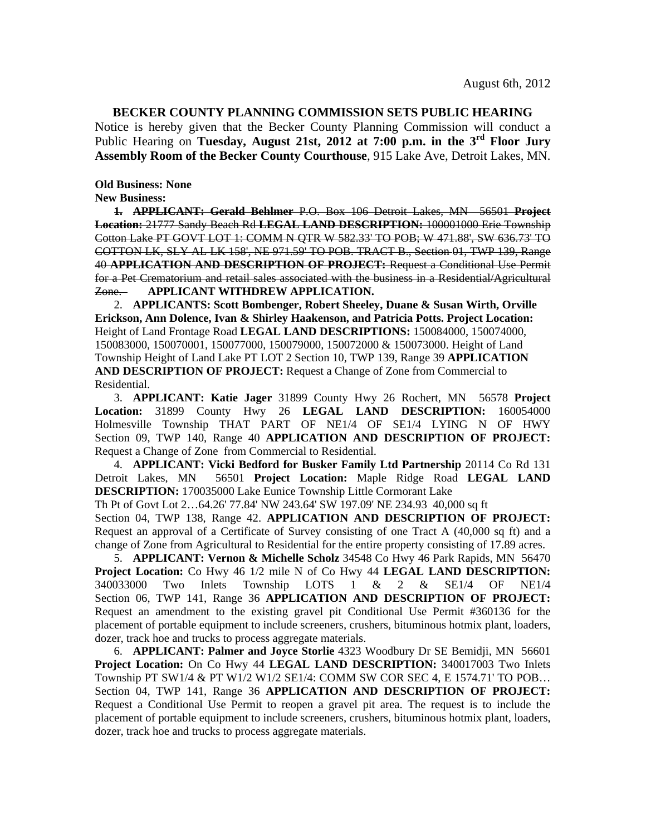## **BECKER COUNTY PLANNING COMMISSION SETS PUBLIC HEARING**

Notice is hereby given that the Becker County Planning Commission will conduct a Public Hearing on **Tuesday, August 21st, 2012 at 7:00 p.m. in the 3rd Floor Jury Assembly Room of the Becker County Courthouse**, 915 Lake Ave, Detroit Lakes, MN.

**Old Business: None** 

**New Business:** 

**1. APPLICANT: Gerald Behlmer** P.O. Box 106 Detroit Lakes, MN 56501 **Project Location:** 21777 Sandy Beach Rd **LEGAL LAND DESCRIPTION:** 100001000 Erie Township Cotton Lake PT GOVT LOT 1: COMM N QTR W 582.33' TO POB; W 471.88', SW 636.73' TO COTTON LK, SLY AL LK 158', NE 971.59' TO POB. TRACT B., Section 01, TWP 139, Range 40 **APPLICATION AND DESCRIPTION OF PROJECT:** Request a Conditional Use Permit for a Pet Crematorium and retail sales associated with the business in a Residential/Agricultural Zone. **APPLICANT WITHDREW APPLICATION.**

2. **APPLICANTS: Scott Bombenger, Robert Sheeley, Duane & Susan Wirth, Orville Erickson, Ann Dolence, Ivan & Shirley Haakenson, and Patricia Potts. Project Location:** Height of Land Frontage Road **LEGAL LAND DESCRIPTIONS:** 150084000, 150074000, 150083000, 150070001, 150077000, 150079000, 150072000 & 150073000. Height of Land Township Height of Land Lake PT LOT 2 Section 10, TWP 139, Range 39 **APPLICATION AND DESCRIPTION OF PROJECT:** Request a Change of Zone from Commercial to Residential.

3. **APPLICANT: Katie Jager** 31899 County Hwy 26 Rochert, MN 56578 **Project Location:** 31899 County Hwy 26 **LEGAL LAND DESCRIPTION:** 160054000 Holmesville Township THAT PART OF NE1/4 OF SE1/4 LYING N OF HWY Section 09, TWP 140, Range 40 **APPLICATION AND DESCRIPTION OF PROJECT:**  Request a Change of Zone from Commercial to Residential.

4. **APPLICANT: Vicki Bedford for Busker Family Ltd Partnership** 20114 Co Rd 131 Detroit Lakes, MN 56501 **Project Location:** Maple Ridge Road **LEGAL LAND DESCRIPTION:** 170035000 Lake Eunice Township Little Cormorant Lake

Th Pt of Govt Lot 2…64.26' 77.84' NW 243.64' SW 197.09' NE 234.93 40,000 sq ft

Section 04, TWP 138, Range 42. **APPLICATION AND DESCRIPTION OF PROJECT:**  Request an approval of a Certificate of Survey consisting of one Tract A (40,000 sq ft) and a change of Zone from Agricultural to Residential for the entire property consisting of 17.89 acres.

5. **APPLICANT: Vernon & Michelle Scholz** 34548 Co Hwy 46 Park Rapids, MN 56470 **Project Location:** Co Hwy 46 1/2 mile N of Co Hwy 44 **LEGAL LAND DESCRIPTION:** 340033000 Two Inlets Township LOTS 1 & 2 & SE1/4 OF NE1/4 Section 06, TWP 141, Range 36 **APPLICATION AND DESCRIPTION OF PROJECT:**  Request an amendment to the existing gravel pit Conditional Use Permit #360136 for the placement of portable equipment to include screeners, crushers, bituminous hotmix plant, loaders, dozer, track hoe and trucks to process aggregate materials.

6. **APPLICANT: Palmer and Joyce Storlie** 4323 Woodbury Dr SE Bemidji, MN 56601 **Project Location:** On Co Hwy 44 **LEGAL LAND DESCRIPTION:** 340017003 Two Inlets Township PT SW1/4 & PT W1/2 W1/2 SE1/4: COMM SW COR SEC 4, E 1574.71' TO POB… Section 04, TWP 141, Range 36 **APPLICATION AND DESCRIPTION OF PROJECT:** Request a Conditional Use Permit to reopen a gravel pit area. The request is to include the placement of portable equipment to include screeners, crushers, bituminous hotmix plant, loaders, dozer, track hoe and trucks to process aggregate materials.